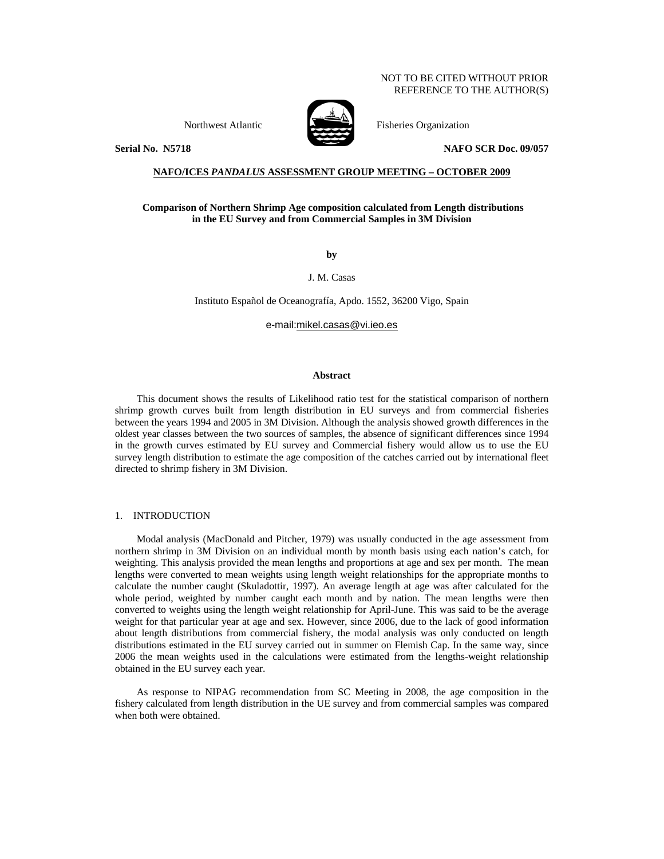### NOT TO BE CITED WITHOUT PRIOR REFERENCE TO THE AUTHOR(S)



Northwest Atlantic Fisheries Organization

**Serial No. N5718 NAFO SCR Doc. 09/057** 

### **NAFO/ICES** *PANDALUS* **ASSESSMENT GROUP MEETING – OCTOBER 2009**

# **Comparison of Northern Shrimp Age composition calculated from Length distributions in the EU Survey and from Commercial Samples in 3M Division**

**by** 

J. M. Casas

Instituto Español de Oceanografía, Apdo. 1552, 36200 Vigo, Spain

e-mail:mikel.casas@vi.ieo.es

# **Abstract**

This document shows the results of Likelihood ratio test for the statistical comparison of northern shrimp growth curves built from length distribution in EU surveys and from commercial fisheries between the years 1994 and 2005 in 3M Division. Although the analysis showed growth differences in the oldest year classes between the two sources of samples, the absence of significant differences since 1994 in the growth curves estimated by EU survey and Commercial fishery would allow us to use the EU survey length distribution to estimate the age composition of the catches carried out by international fleet directed to shrimp fishery in 3M Division.

#### 1. INTRODUCTION

Modal analysis (MacDonald and Pitcher, 1979) was usually conducted in the age assessment from northern shrimp in 3M Division on an individual month by month basis using each nation's catch, for weighting. This analysis provided the mean lengths and proportions at age and sex per month. The mean lengths were converted to mean weights using length weight relationships for the appropriate months to calculate the number caught (Skuladottir, 1997). An average length at age was after calculated for the whole period, weighted by number caught each month and by nation. The mean lengths were then converted to weights using the length weight relationship for April-June. This was said to be the average weight for that particular year at age and sex. However, since 2006, due to the lack of good information about length distributions from commercial fishery, the modal analysis was only conducted on length distributions estimated in the EU survey carried out in summer on Flemish Cap. In the same way, since 2006 the mean weights used in the calculations were estimated from the lengths-weight relationship obtained in the EU survey each year.

As response to NIPAG recommendation from SC Meeting in 2008, the age composition in the fishery calculated from length distribution in the UE survey and from commercial samples was compared when both were obtained.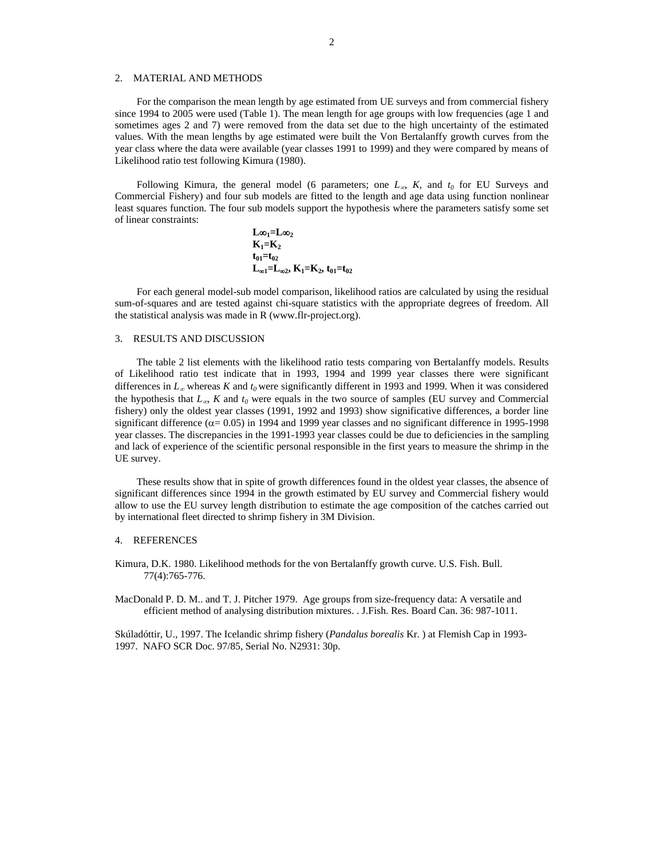### 2. MATERIAL AND METHODS

For the comparison the mean length by age estimated from UE surveys and from commercial fishery since 1994 to 2005 were used (Table 1). The mean length for age groups with low frequencies (age 1 and sometimes ages 2 and 7) were removed from the data set due to the high uncertainty of the estimated values. With the mean lengths by age estimated were built the Von Bertalanffy growth curves from the year class where the data were available (year classes 1991 to 1999) and they were compared by means of Likelihood ratio test following Kimura (1980).

Following Kimura, the general model (6 parameters; one  $L_{\infty}$ , *K*, and  $t_0$  for EU Surveys and Commercial Fishery) and four sub models are fitted to the length and age data using function nonlinear least squares function. The four sub models support the hypothesis where the parameters satisfy some set of linear constraints:

$$
L\infty_1=L\infty_2K_1=K_2t_{01}=t_{02}L_{\infty1}=L_{\infty2}, K_1=K_2, t_{01}=t_{02}
$$

For each general model-sub model comparison, likelihood ratios are calculated by using the residual sum-of-squares and are tested against chi-square statistics with the appropriate degrees of freedom. All the statistical analysis was made in R (www.flr-project.org).

### 3. RESULTS AND DISCUSSION

The table 2 list elements with the likelihood ratio tests comparing von Bertalanffy models. Results of Likelihood ratio test indicate that in 1993, 1994 and 1999 year classes there were significant differences in  $L_\infty$  whereas *K* and  $t_0$  were significantly different in 1993 and 1999. When it was considered the hypothesis that  $L_{\infty}$ , *K* and  $t_0$  were equals in the two source of samples (EU survey and Commercial fishery) only the oldest year classes (1991, 1992 and 1993) show significative differences, a border line significant difference ( $\alpha$  = 0.05) in 1994 and 1999 year classes and no significant difference in 1995-1998 year classes. The discrepancies in the 1991-1993 year classes could be due to deficiencies in the sampling and lack of experience of the scientific personal responsible in the first years to measure the shrimp in the UE survey.

These results show that in spite of growth differences found in the oldest year classes, the absence of significant differences since 1994 in the growth estimated by EU survey and Commercial fishery would allow to use the EU survey length distribution to estimate the age composition of the catches carried out by international fleet directed to shrimp fishery in 3M Division.

#### 4. REFERENCES

Kimura, D.K. 1980. Likelihood methods for the von Bertalanffy growth curve. U.S. Fish. Bull. 77(4):765-776.

MacDonald P. D. M.. and T. J. Pitcher 1979. Age groups from size-frequency data: A versatile and efficient method of analysing distribution mixtures. . J.Fish. Res. Board Can. 36: 987-1011.

Skúladóttir, U., 1997. The Icelandic shrimp fishery (*Pandalus borealis* Kr. ) at Flemish Cap in 1993- 1997. NAFO SCR Doc. 97/85, Serial No. N2931: 30p.